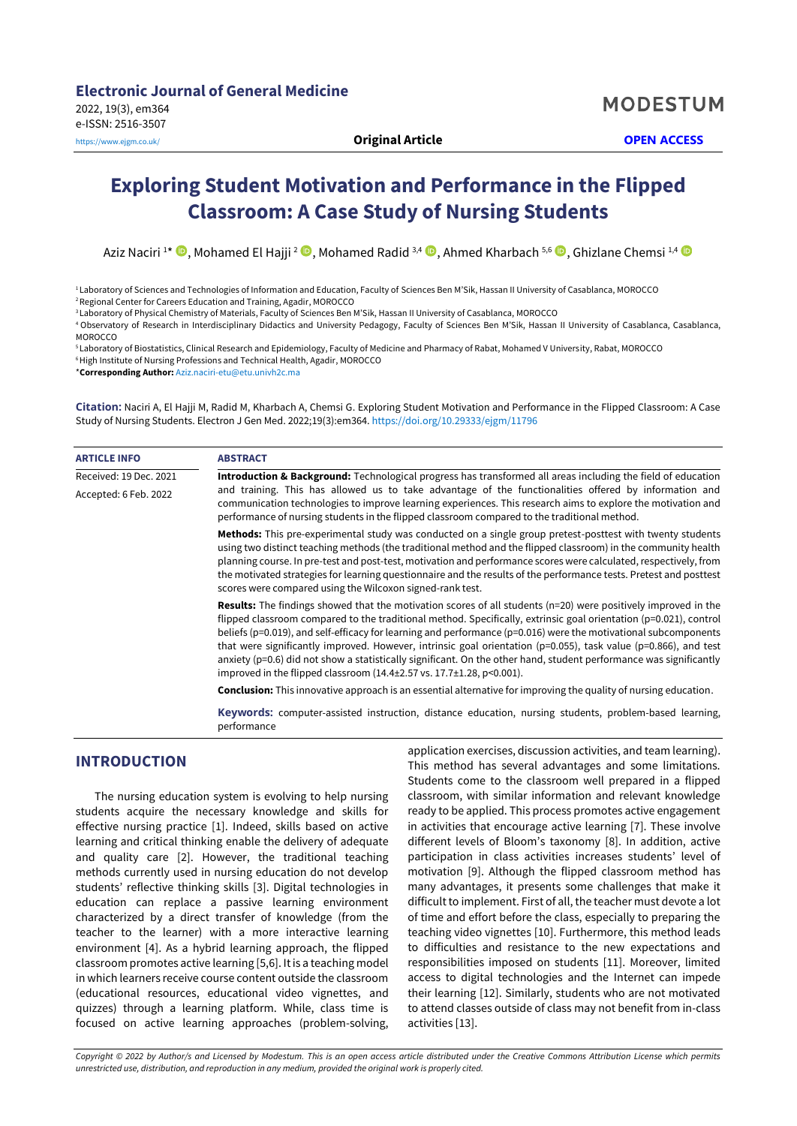# **Exploring Student Motivation and Performance in the Flipped Classroom: A Case Study of Nursing Students**

Aziz Naciri 1\* ®, Mohamed El Hajji <sup>2</sup> ®, Mohamed Radid <sup>3,4</sup> ®, Ahmed Kharbach <sup>5,6</sup> ®, Ghizlane Chemsi <sup>1,4</sup>

<sup>1</sup> Laboratory of Sciences and Technologies of Information and Education, Faculty of Sciences Ben M'Sik, Hassan II University of Casablanca, MOROCCO <sup>2</sup>Regional Center for Careers Education and Training, Agadir, MOROCCO

<sup>3</sup> Laboratory of Physical Chemistry of Materials, Faculty of Sciences Ben M'Sik, Hassan II University of Casablanca, MOROCCO

<sup>4</sup> Observatory of Research in Interdisciplinary Didactics and University Pedagogy, Faculty of Sciences Ben M'Sik, Hassan II University of Casablanca, Casablanca, **MOROCCO** 

<sup>5</sup> Laboratory of Biostatistics, Clinical Research and Epidemiology, Faculty of Medicine and Pharmacy of Rabat, Mohamed V University, Rabat, MOROCCO <sup>6</sup> High Institute of Nursing Professions and Technical Health, Agadir, MOROCCO

\***Corresponding Author:** [Aziz.naciri-etu@etu.univh2c.ma](mailto:Aziz.naciri-etu@etu.univh2c.ma)

**Citation:** Naciri A, El Hajji M, Radid M, Kharbach A, Chemsi G. Exploring Student Motivation and Performance in the Flipped Classroom: A Case Study of Nursing Students. Electron J Gen Med. 2022;19(3):em364. <https://doi.org/10.29333/ejgm/11796>

| <b>ARTICLE INFO</b>    | <b>ABSTRACT</b>                                                                                                                                                                                                                                                                                                                                                                                                                                                                                                                                                                                                                                                                                                                   |  |  |
|------------------------|-----------------------------------------------------------------------------------------------------------------------------------------------------------------------------------------------------------------------------------------------------------------------------------------------------------------------------------------------------------------------------------------------------------------------------------------------------------------------------------------------------------------------------------------------------------------------------------------------------------------------------------------------------------------------------------------------------------------------------------|--|--|
| Received: 19 Dec. 2021 | Introduction & Background: Technological progress has transformed all areas including the field of education                                                                                                                                                                                                                                                                                                                                                                                                                                                                                                                                                                                                                      |  |  |
| Accepted: 6 Feb. 2022  | and training. This has allowed us to take advantage of the functionalities offered by information and<br>communication technologies to improve learning experiences. This research aims to explore the motivation and<br>performance of nursing students in the flipped classroom compared to the traditional method.                                                                                                                                                                                                                                                                                                                                                                                                             |  |  |
|                        | Methods: This pre-experimental study was conducted on a single group pretest-posttest with twenty students<br>using two distinct teaching methods (the traditional method and the flipped classroom) in the community health<br>planning course. In pre-test and post-test, motivation and performance scores were calculated, respectively, from<br>the motivated strategies for learning questionnaire and the results of the performance tests. Pretest and posttest<br>scores were compared using the Wilcoxon signed-rank test.                                                                                                                                                                                              |  |  |
|                        | <b>Results:</b> The findings showed that the motivation scores of all students (n=20) were positively improved in the<br>flipped classroom compared to the traditional method. Specifically, extrinsic goal orientation ( $p=0.021$ ), control<br>beliefs ( $p=0.019$ ), and self-efficacy for learning and performance ( $p=0.016$ ) were the motivational subcomponents<br>that were significantly improved. However, intrinsic goal orientation ( $p=0.055$ ), task value ( $p=0.866$ ), and test<br>anxiety (p=0.6) did not show a statistically significant. On the other hand, student performance was significantly<br>improved in the flipped classroom $(14.4 \pm 2.57 \text{ vs. } 17.7 \pm 1.28, \text{ p} < 0.001)$ . |  |  |
|                        | <b>Conclusion:</b> This innovative approach is an essential alternative for improving the quality of nursing education.                                                                                                                                                                                                                                                                                                                                                                                                                                                                                                                                                                                                           |  |  |
|                        | Keywords: computer-assisted instruction, distance education, nursing students, problem-based learning,<br>performance                                                                                                                                                                                                                                                                                                                                                                                                                                                                                                                                                                                                             |  |  |

## **INTRODUCTION**

The nursing education system is evolving to help nursing students acquire the necessary knowledge and skills for effective nursing practice [1]. Indeed, skills based on active learning and critical thinking enable the delivery of adequate and quality care [2]. However, the traditional teaching methods currently used in nursing education do not develop students' reflective thinking skills [3]. Digital technologies in education can replace a passive learning environment characterized by a direct transfer of knowledge (from the teacher to the learner) with a more interactive learning environment [4]. As a hybrid learning approach, the flipped classroom promotes active learning [5,6]. It is a teaching model in which learners receive course content outside the classroom (educational resources, educational video vignettes, and quizzes) through a learning platform. While, class time is focused on active learning approaches (problem-solving,

application exercises, discussion activities, and team learning). This method has several advantages and some limitations. Students come to the classroom well prepared in a flipped classroom, with similar information and relevant knowledge ready to be applied. This process promotes active engagement in activities that encourage active learning [7]. These involve different levels of Bloom's taxonomy [8]. In addition, active participation in class activities increases students' level of motivation [9]. Although the flipped classroom method has many advantages, it presents some challenges that make it difficult to implement. First of all, the teacher must devote a lot of time and effort before the class, especially to preparing the teaching video vignettes [10]. Furthermore, this method leads to difficulties and resistance to the new expectations and responsibilities imposed on students [11]. Moreover, limited access to digital technologies and the Internet can impede their learning [12]. Similarly, students who are not motivated to attend classes outside of class may not benefit from in-class activities [13].

*Copyright © 2022 by Author/s and Licensed by Modestum. This is an open access article distributed under the Creative Commons Attribution License which permits unrestricted use, distribution, and reproduction in any medium, provided the original work is properly cited.*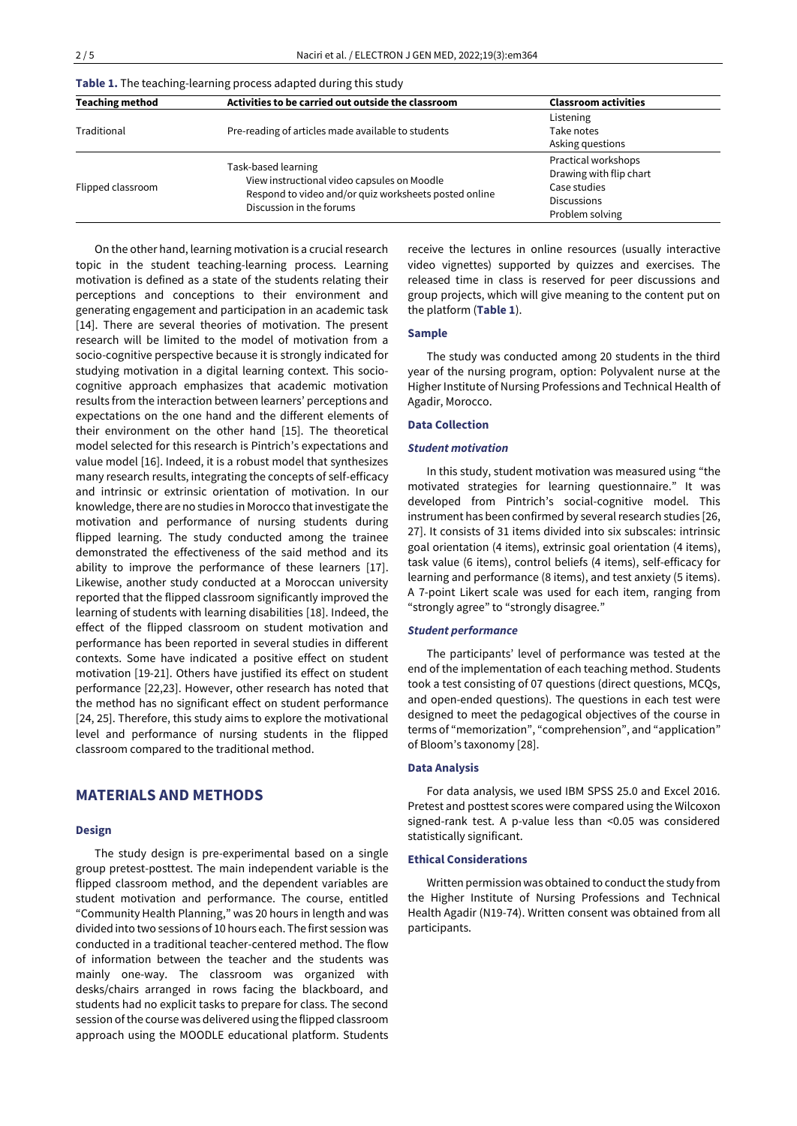| <b>Table 1.</b> The teaching-learning process adapted during this study |                                                                                                                                                         |                                                                                                         |  |  |
|-------------------------------------------------------------------------|---------------------------------------------------------------------------------------------------------------------------------------------------------|---------------------------------------------------------------------------------------------------------|--|--|
| <b>Teaching method</b>                                                  | Activities to be carried out outside the classroom                                                                                                      | <b>Classroom activities</b>                                                                             |  |  |
| Traditional                                                             | Pre-reading of articles made available to students                                                                                                      | Listening<br>Take notes<br>Asking questions                                                             |  |  |
| Flipped classroom                                                       | Task-based learning<br>View instructional video capsules on Moodle<br>Respond to video and/or quiz worksheets posted online<br>Discussion in the forums | Practical workshops<br>Drawing with flip chart<br>Case studies<br><b>Discussions</b><br>Problem solving |  |  |

On the other hand, learning motivation is a crucial research topic in the student teaching-learning process. Learning motivation is defined as a state of the students relating their perceptions and conceptions to their environment and generating engagement and participation in an academic task [14]. There are several theories of motivation. The present research will be limited to the model of motivation from a socio-cognitive perspective because it is strongly indicated for studying motivation in a digital learning context. This sociocognitive approach emphasizes that academic motivation results from the interaction between learners' perceptions and expectations on the one hand and the different elements of their environment on the other hand [15]. The theoretical model selected for this research is Pintrich's expectations and value model [16]. Indeed, it is a robust model that synthesizes many research results, integrating the concepts of self-efficacy and intrinsic or extrinsic orientation of motivation. In our knowledge, there are no studies in Morocco that investigate the motivation and performance of nursing students during flipped learning. The study conducted among the trainee demonstrated the effectiveness of the said method and its ability to improve the performance of these learners [17]. Likewise, another study conducted at a Moroccan university reported that the flipped classroom significantly improved the learning of students with learning disabilities [18]. Indeed, the effect of the flipped classroom on student motivation and performance has been reported in several studies in different contexts. Some have indicated a positive effect on student motivation [19-21]. Others have justified its effect on student performance [22,23]. However, other research has noted that the method has no significant effect on student performance [24, 25]. Therefore, this study aims to explore the motivational level and performance of nursing students in the flipped classroom compared to the traditional method.

# **MATERIALS AND METHODS**

#### **Design**

The study design is pre-experimental based on a single group pretest-posttest. The main independent variable is the flipped classroom method, and the dependent variables are student motivation and performance. The course, entitled "Community Health Planning," was 20 hours in length and was divided into two sessions of 10 hours each. The first session was conducted in a traditional teacher-centered method. The flow of information between the teacher and the students was mainly one-way. The classroom was organized with desks/chairs arranged in rows facing the blackboard, and students had no explicit tasks to prepare for class. The second session of the course was delivered using the flipped classroom approach using the MOODLE educational platform. Students

receive the lectures in online resources (usually interactive video vignettes) supported by quizzes and exercises. The released time in class is reserved for peer discussions and group projects, which will give meaning to the content put on the platform (**Table 1**).

#### **Sample**

The study was conducted among 20 students in the third year of the nursing program, option: Polyvalent nurse at the Higher Institute of Nursing Professions and Technical Health of Agadir, Morocco.

#### **Data Collection**

#### *Student motivation*

In this study, student motivation was measured using "the motivated strategies for learning questionnaire." It was developed from Pintrich's social-cognitive model. This instrument has been confirmed by several research studies [26, 27]. It consists of 31 items divided into six subscales: intrinsic goal orientation (4 items), extrinsic goal orientation (4 items), task value (6 items), control beliefs (4 items), self-efficacy for learning and performance (8 items), and test anxiety (5 items). A 7-point Likert scale was used for each item, ranging from "strongly agree" to "strongly disagree."

## *Student performance*

The participants' level of performance was tested at the end of the implementation of each teaching method. Students took a test consisting of 07 questions (direct questions, MCQs, and open-ended questions). The questions in each test were designed to meet the pedagogical objectives of the course in terms of "memorization", "comprehension", and "application" of Bloom's taxonomy [28].

#### **Data Analysis**

For data analysis, we used IBM SPSS 25.0 and Excel 2016. Pretest and posttest scores were compared using the Wilcoxon signed-rank test. A p-value less than <0.05 was considered statistically significant.

## **Ethical Considerations**

Written permission was obtained to conduct the study from the Higher Institute of Nursing Professions and Technical Health Agadir (N19-74). Written consent was obtained from all participants.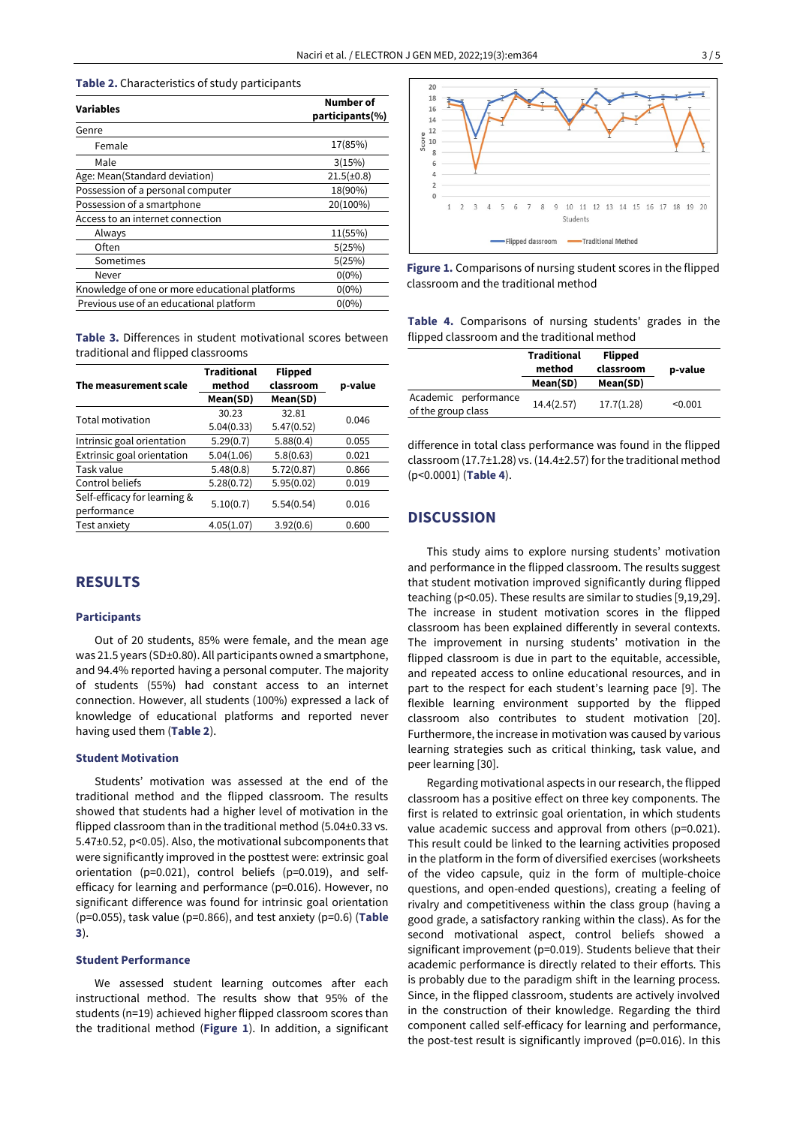#### **Table 2.** Characteristics of study participants

| <b>Variables</b>                               | Number of<br>participants(%) |  |
|------------------------------------------------|------------------------------|--|
|                                                |                              |  |
| Genre                                          |                              |  |
| Female                                         | 17(85%)                      |  |
| Male                                           | 3(15%)                       |  |
| Age: Mean(Standard deviation)                  | $21.5(\pm 0.8)$              |  |
| Possession of a personal computer              | 18(90%)                      |  |
| Possession of a smartphone                     | 20(100%)                     |  |
| Access to an internet connection               |                              |  |
| Always                                         | 11(55%)                      |  |
| Often                                          | 5(25%)                       |  |
| Sometimes                                      | 5(25%)                       |  |
| Never                                          | $0(0\%)$                     |  |
| Knowledge of one or more educational platforms | $0(0\%)$                     |  |
| Previous use of an educational platform        | $0(0\%)$                     |  |

**Table 3.** Differences in student motivational scores between traditional and flipped classrooms

| The measurement scale        | <b>Traditional</b><br>method | <b>Flipped</b><br>classroom | p-value |  |
|------------------------------|------------------------------|-----------------------------|---------|--|
|                              | Mean(SD)                     | Mean(SD)                    |         |  |
| Total motivation             | 30.23                        | 32.81                       | 0.046   |  |
|                              | 5.04(0.33)                   | 5.47(0.52)                  |         |  |
| Intrinsic goal orientation   | 5.29(0.7)                    | 5.88(0.4)                   | 0.055   |  |
| Extrinsic goal orientation   | 5.04(1.06)                   | 5.8(0.63)                   | 0.021   |  |
| Task value                   | 5.48(0.8)                    | 5.72(0.87)                  | 0.866   |  |
| Control beliefs              | 5.28(0.72)                   | 5.95(0.02)                  | 0.019   |  |
| Self-efficacy for learning & | 5.10(0.7)                    | 5.54(0.54)                  | 0.016   |  |
| performance                  |                              |                             |         |  |
| Test anxiety                 | 4.05(1.07)                   | 3.92(0.6)                   | 0.600   |  |

# **RESULTS**

#### **Participants**

Out of 20 students, 85% were female, and the mean age was 21.5 years (SD±0.80). All participants owned a smartphone, and 94.4% reported having a personal computer. The majority of students (55%) had constant access to an internet connection. However, all students (100%) expressed a lack of knowledge of educational platforms and reported never having used them (**Table 2**).

## **Student Motivation**

Students' motivation was assessed at the end of the traditional method and the flipped classroom. The results showed that students had a higher level of motivation in the flipped classroom than in the traditional method (5.04±0.33 vs. 5.47±0.52, p<0.05). Also, the motivational subcomponents that were significantly improved in the posttest were: extrinsic goal orientation (p=0.021), control beliefs (p=0.019), and selfefficacy for learning and performance (p=0.016). However, no significant difference was found for intrinsic goal orientation (p=0.055), task value (p=0.866), and test anxiety (p=0.6) (**Table 3**).

## **Student Performance**

We assessed student learning outcomes after each instructional method. The results show that 95% of the students (n=19) achieved higher flipped classroom scores than the traditional method (**Figure 1**). In addition, a significant



**Figure 1.** Comparisons of nursing student scores in the flipped classroom and the traditional method

**Table 4.** Comparisons of nursing students' grades in the flipped classroom and the traditional method

|                                            | <b>Traditional</b><br>method | <b>Flipped</b><br>classroom | p-value |
|--------------------------------------------|------------------------------|-----------------------------|---------|
|                                            | Mean(SD)                     | Mean(SD)                    |         |
| Academic performance<br>of the group class | 14.4(2.57)                   | 17.7(1.28)                  | < 0.001 |

difference in total class performance was found in the flipped classroom (17.7±1.28) vs. (14.4±2.57) for the traditional method (p<0.0001) (**Table 4**).

# **DISCUSSION**

This study aims to explore nursing students' motivation and performance in the flipped classroom. The results suggest that student motivation improved significantly during flipped teaching (p<0.05). These results are similar to studies [9,19,29]. The increase in student motivation scores in the flipped classroom has been explained differently in several contexts. The improvement in nursing students' motivation in the flipped classroom is due in part to the equitable, accessible, and repeated access to online educational resources, and in part to the respect for each student's learning pace [9]. The flexible learning environment supported by the flipped classroom also contributes to student motivation [20]. Furthermore, the increase in motivation was caused by various learning strategies such as critical thinking, task value, and peer learning [30].

Regarding motivational aspects in our research, the flipped classroom has a positive effect on three key components. The first is related to extrinsic goal orientation, in which students value academic success and approval from others (p=0.021). This result could be linked to the learning activities proposed in the platform in the form of diversified exercises (worksheets of the video capsule, quiz in the form of multiple-choice questions, and open-ended questions), creating a feeling of rivalry and competitiveness within the class group (having a good grade, a satisfactory ranking within the class). As for the second motivational aspect, control beliefs showed a significant improvement (p=0.019). Students believe that their academic performance is directly related to their efforts. This is probably due to the paradigm shift in the learning process. Since, in the flipped classroom, students are actively involved in the construction of their knowledge. Regarding the third component called self-efficacy for learning and performance, the post-test result is significantly improved (p=0.016). In this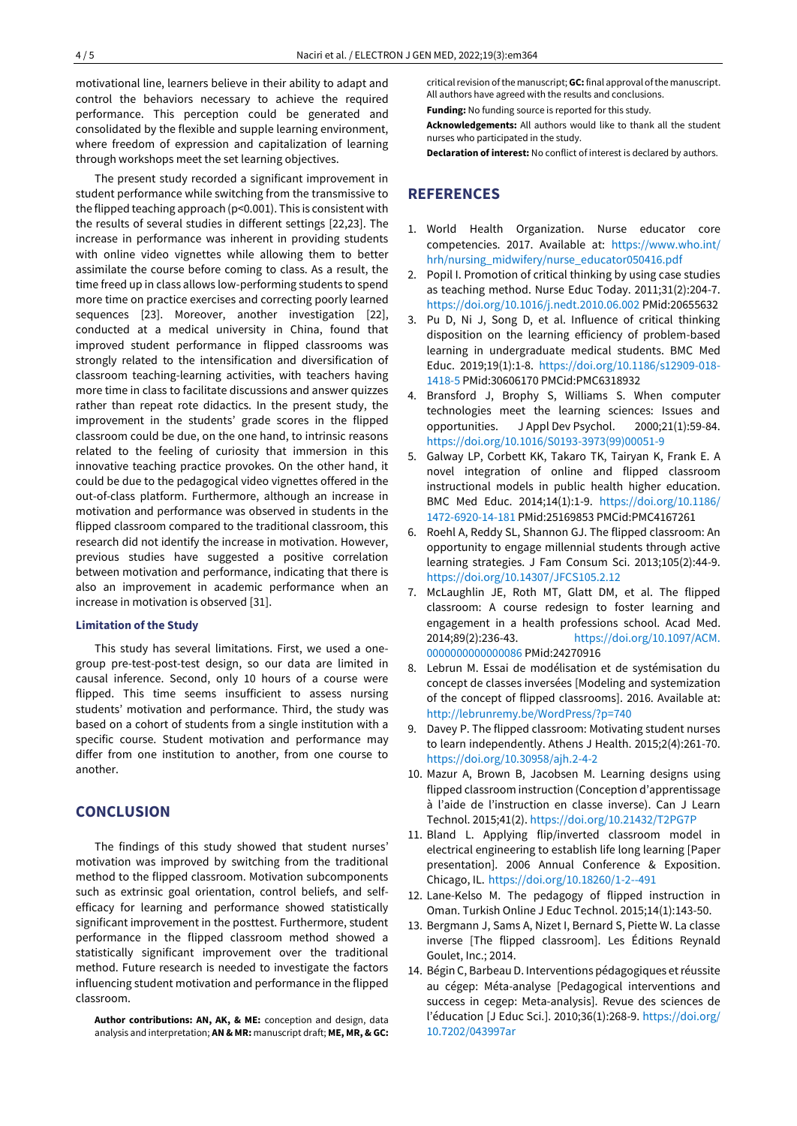motivational line, learners believe in their ability to adapt and control the behaviors necessary to achieve the required performance. This perception could be generated and consolidated by the flexible and supple learning environment, where freedom of expression and capitalization of learning through workshops meet the set learning objectives.

The present study recorded a significant improvement in student performance while switching from the transmissive to the flipped teaching approach (p<0.001). This is consistent with the results of several studies in different settings [22,23]. The increase in performance was inherent in providing students with online video vignettes while allowing them to better assimilate the course before coming to class. As a result, the time freed up in class allows low-performing students to spend more time on practice exercises and correcting poorly learned sequences [23]. Moreover, another investigation [22], conducted at a medical university in China, found that improved student performance in flipped classrooms was strongly related to the intensification and diversification of classroom teaching-learning activities, with teachers having more time in class to facilitate discussions and answer quizzes rather than repeat rote didactics. In the present study, the improvement in the students' grade scores in the flipped classroom could be due, on the one hand, to intrinsic reasons related to the feeling of curiosity that immersion in this innovative teaching practice provokes. On the other hand, it could be due to the pedagogical video vignettes offered in the out-of-class platform. Furthermore, although an increase in motivation and performance was observed in students in the flipped classroom compared to the traditional classroom, this research did not identify the increase in motivation. However, previous studies have suggested a positive correlation between motivation and performance, indicating that there is also an improvement in academic performance when an increase in motivation is observed [31].

#### **Limitation of the Study**

This study has several limitations. First, we used a onegroup pre-test-post-test design, so our data are limited in causal inference. Second, only 10 hours of a course were flipped. This time seems insufficient to assess nursing students' motivation and performance. Third, the study was based on a cohort of students from a single institution with a specific course. Student motivation and performance may differ from one institution to another, from one course to another.

# **CONCLUSION**

The findings of this study showed that student nurses' motivation was improved by switching from the traditional method to the flipped classroom. Motivation subcomponents such as extrinsic goal orientation, control beliefs, and selfefficacy for learning and performance showed statistically significant improvement in the posttest. Furthermore, student performance in the flipped classroom method showed a statistically significant improvement over the traditional method. Future research is needed to investigate the factors influencing student motivation and performance in the flipped classroom.

**Author contributions: AN, AK, & ME:** conception and design, data analysis and interpretation; **AN & MR:** manuscript draft; **ME, MR, & GC:**

critical revision of the manuscript; **GC:** final approval of the manuscript. All authors have agreed with the results and conclusions.

**Funding:** No funding source is reported for this study.

**Acknowledgements:** All authors would like to thank all the student nurses who participated in the study.

**Declaration of interest:** No conflict of interest is declared by authors.

## **REFERENCES**

- 1. World Health Organization. Nurse educator core competencies. 2017. Available at: [https://www.who.int/](https://www.who.int/hrh/nursing_midwifery/nurse_educator050416.pdf) [hrh/nursing\\_midwifery/nurse\\_educator050416.pdf](https://www.who.int/hrh/nursing_midwifery/nurse_educator050416.pdf)
- 2. Popil I. Promotion of critical thinking by using case studies as teaching method. Nurse Educ Today. 2011;31(2):204-7. <https://doi.org/10.1016/j.nedt.2010.06.002> PMid:20655632
- 3. Pu D, Ni J, Song D, et al. Influence of critical thinking disposition on the learning efficiency of problem-based learning in undergraduate medical students. BMC Med Educ. 2019;19(1):1-8. [https://doi.org/10.1186/s12909-018-](https://doi.org/10.1186/s12909-018-1418-5) [1418-5](https://doi.org/10.1186/s12909-018-1418-5) PMid:30606170 PMCid:PMC6318932
- 4. Bransford J, Brophy S, Williams S. When computer technologies meet the learning sciences: Issues and opportunities. J Appl Dev Psychol. 2000;21(1):59-84. [https://doi.org/10.1016/S0193-3973\(99\)00051-9](https://doi.org/10.1016/S0193-3973(99)00051-9)
- 5. Galway LP, Corbett KK, Takaro TK, Tairyan K, Frank E. A novel integration of online and flipped classroom instructional models in public health higher education. BMC Med Educ. 2014;14(1):1-9. [https://doi.org/10.1186/](https://doi.org/10.1186/1472-6920-14-181) [1472-6920-14-181](https://doi.org/10.1186/1472-6920-14-181) PMid:25169853 PMCid:PMC4167261
- 6. Roehl A, Reddy SL, Shannon GJ. The flipped classroom: An opportunity to engage millennial students through active learning strategies. J Fam Consum Sci. 2013;105(2):44-9. <https://doi.org/10.14307/JFCS105.2.12>
- 7. McLaughlin JE, Roth MT, Glatt DM, et al. The flipped classroom: A course redesign to foster learning and engagement in a health professions school. Acad Med. 2014;89(2):236-43. [https://doi.org/10.1097/ACM.](https://doi.org/10.1097/ACM.0000000000000086) [0000000000000086](https://doi.org/10.1097/ACM.0000000000000086) PMid:24270916
- 8. Lebrun M. Essai de modélisation et de systémisation du concept de classes inversées [Modeling and systemization of the concept of flipped classrooms]. 2016. Available at: <http://lebrunremy.be/WordPress/?p=740>
- 9. Davey P. The flipped classroom: Motivating student nurses to learn independently. Athens J Health. 2015;2(4):261-70. <https://doi.org/10.30958/ajh.2-4-2>
- 10. Mazur A, Brown B, Jacobsen M. Learning designs using flipped classroom instruction (Conception d'apprentissage à l'aide de l'instruction en classe inverse). Can J Learn Technol. 2015;41(2)[. https://doi.org/10.21432/T2PG7P](https://doi.org/10.21432/T2PG7P)
- 11. Bland L. Applying flip/inverted classroom model in electrical engineering to establish life long learning [Paper presentation]. 2006 Annual Conference & Exposition. Chicago, IL. <https://doi.org/10.18260/1-2--491>
- 12. Lane-Kelso M. The pedagogy of flipped instruction in Oman. Turkish Online J Educ Technol. 2015;14(1):143-50.
- 13. Bergmann J, Sams A, Nizet I, Bernard S, Piette W. La classe inverse [The flipped classroom]. Les Éditions Reynald Goulet, Inc.; 2014.
- 14. Bégin C, Barbeau D. Interventions pédagogiques et réussite au cégep: Méta-analyse [Pedagogical interventions and success in cegep: Meta-analysis]. Revue des sciences de l'éducation [J Educ Sci.]. 2010;36(1):268-9[. https://doi.org/](https://doi.org/10.7202/043997ar) [10.7202/043997ar](https://doi.org/10.7202/043997ar)